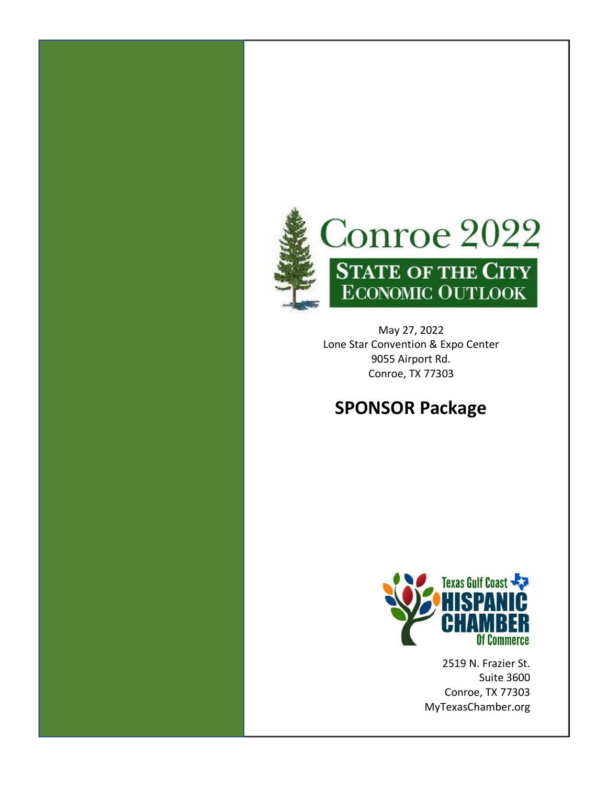

May 27, 2022 Lone Star Convention & Expo Center 9055 Airport Rd. Conroe, TX 77303

# **SPONSOR Package**



2519 N. Frazier St. Suite 3600 Conroe, TX 77303 MyTexasChamber.org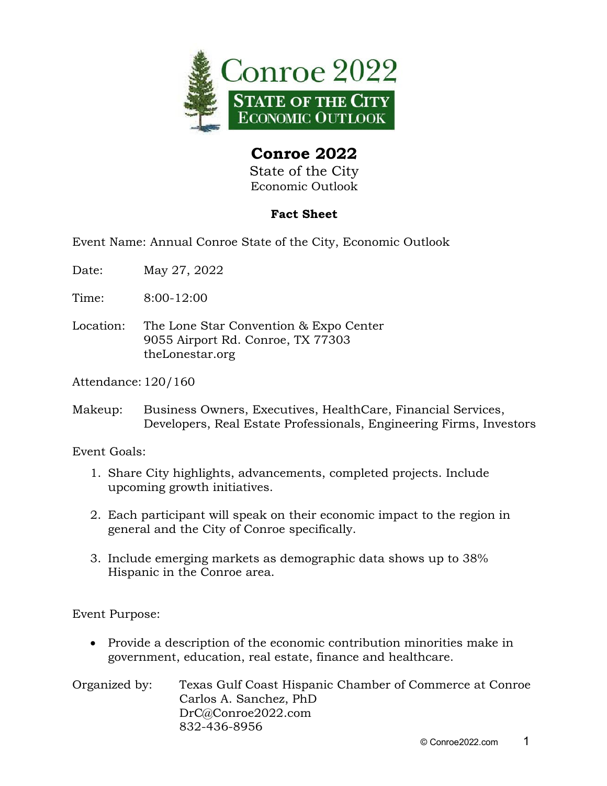

State of the City Economic Outlook

#### **Fact Sheet**

Event Name: Annual Conroe State of the City, Economic Outlook

- Date: May 27, 2022
- Time: 8:00-12:00
- Location: The Lone Star Convention & Expo Center 9055 Airport Rd. Conroe, TX 77303 theLonestar.org

Attendance: 120/160

Makeup: Business Owners, Executives, HealthCare, Financial Services, Developers, Real Estate Professionals, Engineering Firms, Investors

Event Goals:

- 1. Share City highlights, advancements, completed projects. Include upcoming growth initiatives.
- 2. Each participant will speak on their economic impact to the region in general and the City of Conroe specifically.
- 3. Include emerging markets as demographic data shows up to 38% Hispanic in the Conroe area.

Event Purpose:

- Provide a description of the economic contribution minorities make in government, education, real estate, finance and healthcare.
- Organized by: Texas Gulf Coast Hispanic Chamber of Commerce at Conroe Carlos A. Sanchez, PhD DrC@Conroe2022.com 832-436-8956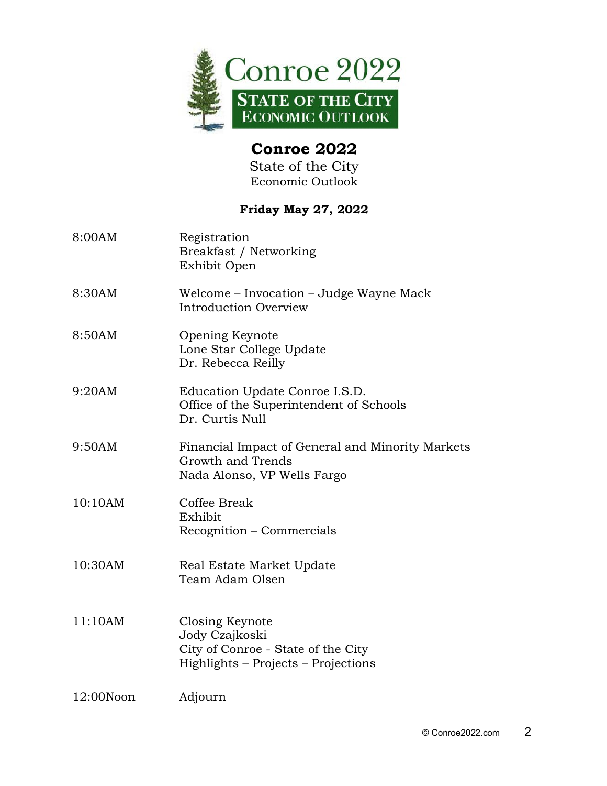

State of the City Economic Outlook

#### **Friday May 27, 2022**

| 8:00AM    | Registration<br>Breakfast / Networking<br>Exhibit Open                                                         |
|-----------|----------------------------------------------------------------------------------------------------------------|
| 8:30AM    | Welcome – Invocation – Judge Wayne Mack<br>Introduction Overview                                               |
| 8:50AM    | Opening Keynote<br>Lone Star College Update<br>Dr. Rebecca Reilly                                              |
| 9:20AM    | Education Update Conroe I.S.D.<br>Office of the Superintendent of Schools<br>Dr. Curtis Null                   |
| 9:50AM    | Financial Impact of General and Minority Markets<br>Growth and Trends<br>Nada Alonso, VP Wells Fargo           |
| 10:10AM   | Coffee Break<br>Exhibit<br>Recognition – Commercials                                                           |
| 10:30AM   | Real Estate Market Update<br>Team Adam Olsen                                                                   |
| 11:10AM   | Closing Keynote<br>Jody Czajkoski<br>City of Conroe - State of the City<br>Highlights - Projects - Projections |
| 12:00Noon | Adjourn                                                                                                        |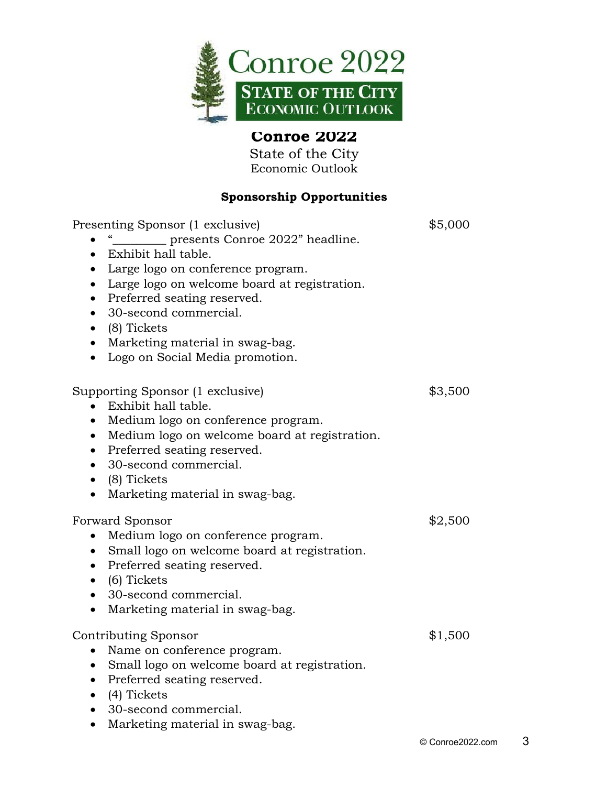

State of the City Economic Outlook

#### **Sponsorship Opportunities**

| Presenting Sponsor (1 exclusive)<br>presents Conroe 2022" headline.<br>Exhibit hall table.<br>$\bullet$<br>Large logo on conference program.<br>$\bullet$<br>Large logo on welcome board at registration.<br>$\bullet$<br>Preferred seating reserved.<br>$\bullet$<br>30-second commercial.<br>$\bullet$<br>$\bullet$ (8) Tickets<br>Marketing material in swag-bag.<br>$\bullet$<br>• Logo on Social Media promotion. | \$5,000 |
|------------------------------------------------------------------------------------------------------------------------------------------------------------------------------------------------------------------------------------------------------------------------------------------------------------------------------------------------------------------------------------------------------------------------|---------|
| Supporting Sponsor (1 exclusive)<br>Exhibit hall table.<br>Medium logo on conference program.<br>$\bullet$<br>Medium logo on welcome board at registration.<br>$\bullet$<br>Preferred seating reserved.<br>$\bullet$<br>30-second commercial.<br>$\bullet$<br>$\bullet$ (8) Tickets<br>Marketing material in swag-bag.<br>$\bullet$                                                                                    | \$3,500 |
| Forward Sponsor<br>Medium logo on conference program.<br>$\bullet$<br>• Small logo on welcome board at registration.<br>Preferred seating reserved.<br>$\bullet$<br>$\bullet$ (6) Tickets<br>• 30-second commercial.<br>Marketing material in swag-bag.<br>$\bullet$                                                                                                                                                   | \$2,500 |
| <b>Contributing Sponsor</b><br>Name on conference program.<br>$\bullet$<br>Small logo on welcome board at registration.<br>$\bullet$<br>Preferred seating reserved.<br>$\bullet$<br>(4) Tickets<br>$\bullet$<br>• 30-second commercial.<br>Marketing material in swag-bag.<br>$\bullet$                                                                                                                                | \$1,500 |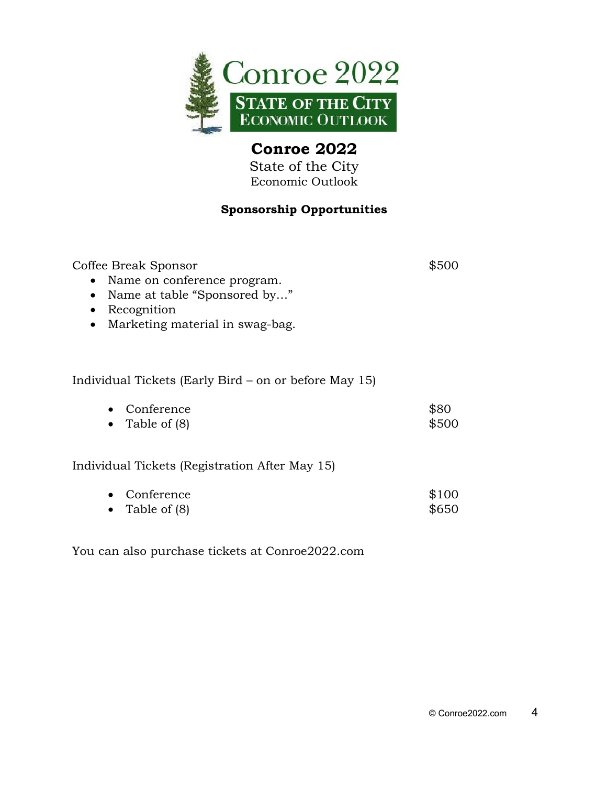

State of the City Economic Outlook

#### **Sponsorship Opportunities**

| Coffee Break Sponsor<br>Name on conference program.<br>$\bullet$<br>Name at table "Sponsored by"<br>$\bullet$<br>Recognition<br>$\bullet$<br>Marketing material in swag-bag.<br>$\bullet$ | \$500          |
|-------------------------------------------------------------------------------------------------------------------------------------------------------------------------------------------|----------------|
| Individual Tickets (Early Bird – on or before May 15)                                                                                                                                     |                |
| Conference<br>Table of (8)<br>$\bullet$                                                                                                                                                   | \$80<br>\$500  |
| Individual Tickets (Registration After May 15)                                                                                                                                            |                |
| Conference<br>Table of (8)                                                                                                                                                                | \$100<br>\$650 |

You can also purchase tickets at Conroe2022.com